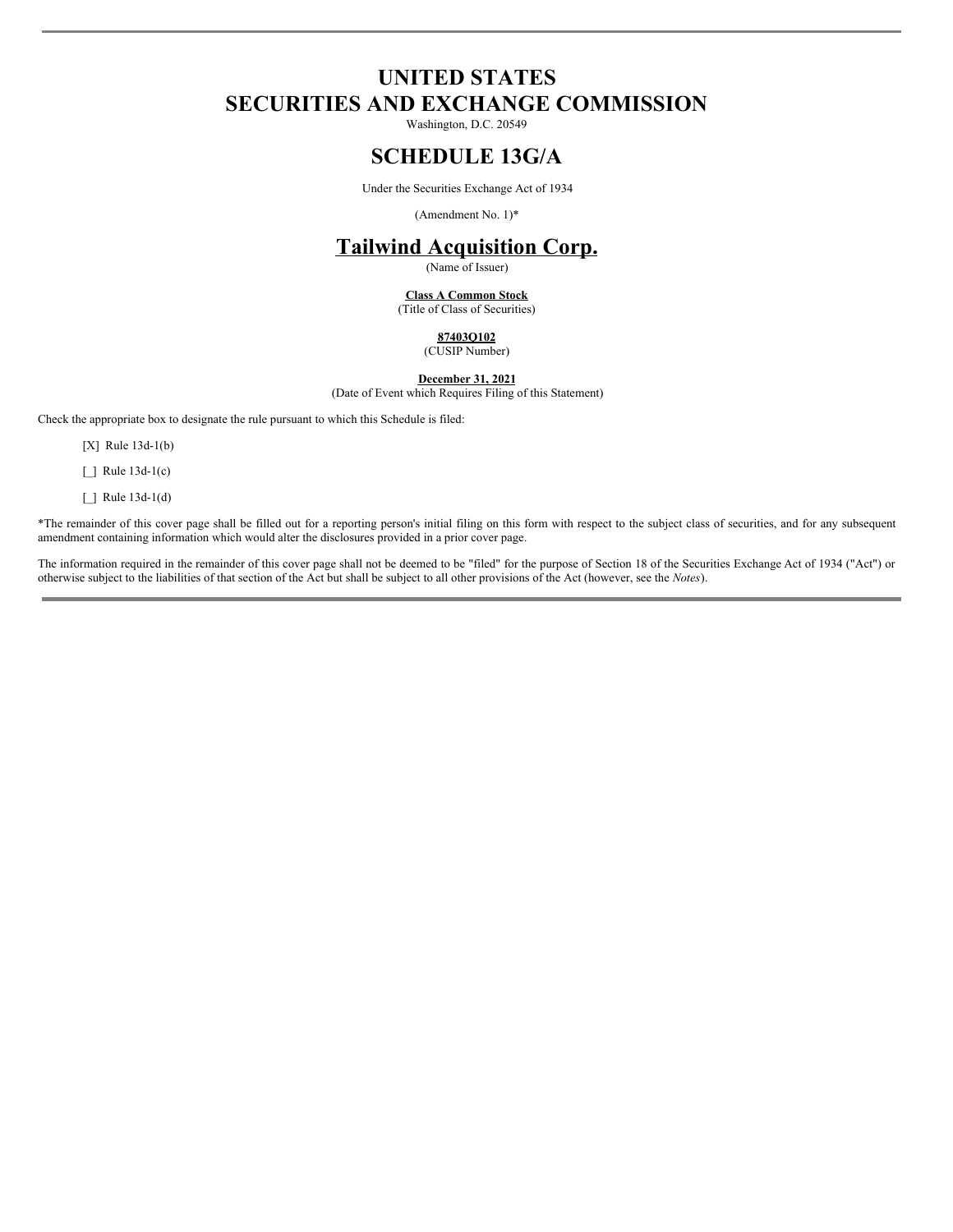# **UNITED STATES SECURITIES AND EXCHANGE COMMISSION**

Washington, D.C. 20549

### **SCHEDULE 13G/A**

Under the Securities Exchange Act of 1934

(Amendment No. 1)\*

# **Tailwind Acquisition Corp.**

(Name of Issuer)

#### **Class A Common Stock**

(Title of Class of Securities)

### **87403Q102** (CUSIP Number)

**December 31, 2021**

(Date of Event which Requires Filing of this Statement)

Check the appropriate box to designate the rule pursuant to which this Schedule is filed:

[X] Rule 13d-1(b)

[ ] Rule 13d-1(c)

 $\Box$  Rule 13d-1(d)

\*The remainder of this cover page shall be filled out for a reporting person's initial filing on this form with respect to the subject class of securities, and for any subsequent amendment containing information which would alter the disclosures provided in a prior cover page.

The information required in the remainder of this cover page shall not be deemed to be "filed" for the purpose of Section 18 of the Securities Exchange Act of 1934 ("Act") or otherwise subject to the liabilities of that section of the Act but shall be subject to all other provisions of the Act (however, see the *Notes*).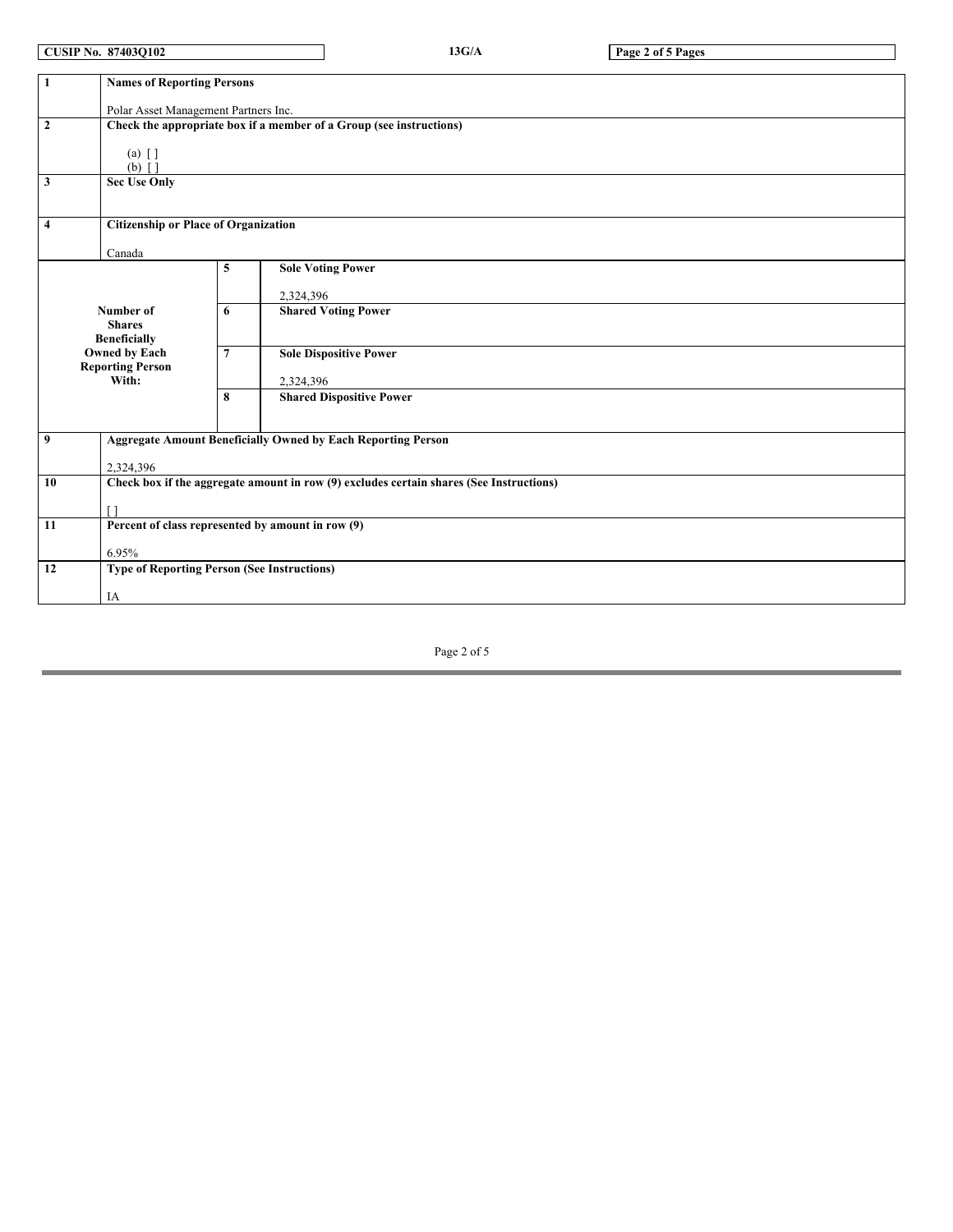**CUSIP No. 87403Q102 13G/A Page 2 of 5 Pages**

| $\mathbf{1}$                                            | <b>Names of Reporting Persons</b>                                                       |                                             |                                 |  |  |  |  |  |
|---------------------------------------------------------|-----------------------------------------------------------------------------------------|---------------------------------------------|---------------------------------|--|--|--|--|--|
|                                                         |                                                                                         |                                             |                                 |  |  |  |  |  |
| Polar Asset Management Partners Inc.                    |                                                                                         |                                             |                                 |  |  |  |  |  |
| $\overline{2}$                                          | Check the appropriate box if a member of a Group (see instructions)                     |                                             |                                 |  |  |  |  |  |
|                                                         |                                                                                         |                                             |                                 |  |  |  |  |  |
|                                                         | $(a) \lceil \cdot \rceil$                                                               |                                             |                                 |  |  |  |  |  |
|                                                         | $(b)$ $\lceil$ $\rceil$                                                                 |                                             |                                 |  |  |  |  |  |
| <b>Sec Use Only</b><br>3                                |                                                                                         |                                             |                                 |  |  |  |  |  |
|                                                         |                                                                                         |                                             |                                 |  |  |  |  |  |
|                                                         |                                                                                         |                                             |                                 |  |  |  |  |  |
| 4                                                       |                                                                                         | <b>Citizenship or Place of Organization</b> |                                 |  |  |  |  |  |
| Canada                                                  |                                                                                         |                                             |                                 |  |  |  |  |  |
|                                                         |                                                                                         | 5                                           | <b>Sole Voting Power</b>        |  |  |  |  |  |
|                                                         |                                                                                         |                                             |                                 |  |  |  |  |  |
|                                                         |                                                                                         |                                             | 2,324,396                       |  |  |  |  |  |
|                                                         | Number of                                                                               |                                             | <b>Shared Voting Power</b>      |  |  |  |  |  |
|                                                         | <b>Shares</b>                                                                           |                                             |                                 |  |  |  |  |  |
|                                                         | <b>Beneficially</b>                                                                     |                                             |                                 |  |  |  |  |  |
|                                                         | Owned by Each                                                                           | $\overline{7}$                              | <b>Sole Dispositive Power</b>   |  |  |  |  |  |
|                                                         | <b>Reporting Person</b>                                                                 |                                             |                                 |  |  |  |  |  |
|                                                         | With:                                                                                   |                                             | 2,324,396                       |  |  |  |  |  |
|                                                         |                                                                                         | 8                                           | <b>Shared Dispositive Power</b> |  |  |  |  |  |
|                                                         |                                                                                         |                                             |                                 |  |  |  |  |  |
|                                                         |                                                                                         |                                             |                                 |  |  |  |  |  |
| $\boldsymbol{9}$                                        | <b>Aggregate Amount Beneficially Owned by Each Reporting Person</b>                     |                                             |                                 |  |  |  |  |  |
|                                                         | 2,324,396                                                                               |                                             |                                 |  |  |  |  |  |
| 10                                                      | Check box if the aggregate amount in row (9) excludes certain shares (See Instructions) |                                             |                                 |  |  |  |  |  |
|                                                         |                                                                                         |                                             |                                 |  |  |  |  |  |
| ٢1                                                      |                                                                                         |                                             |                                 |  |  |  |  |  |
| Percent of class represented by amount in row (9)<br>11 |                                                                                         |                                             |                                 |  |  |  |  |  |
|                                                         |                                                                                         |                                             |                                 |  |  |  |  |  |
| 6.95%                                                   |                                                                                         |                                             |                                 |  |  |  |  |  |
| 12                                                      | <b>Type of Reporting Person (See Instructions)</b>                                      |                                             |                                 |  |  |  |  |  |
|                                                         |                                                                                         |                                             |                                 |  |  |  |  |  |
|                                                         | IA                                                                                      |                                             |                                 |  |  |  |  |  |

Page 2 of 5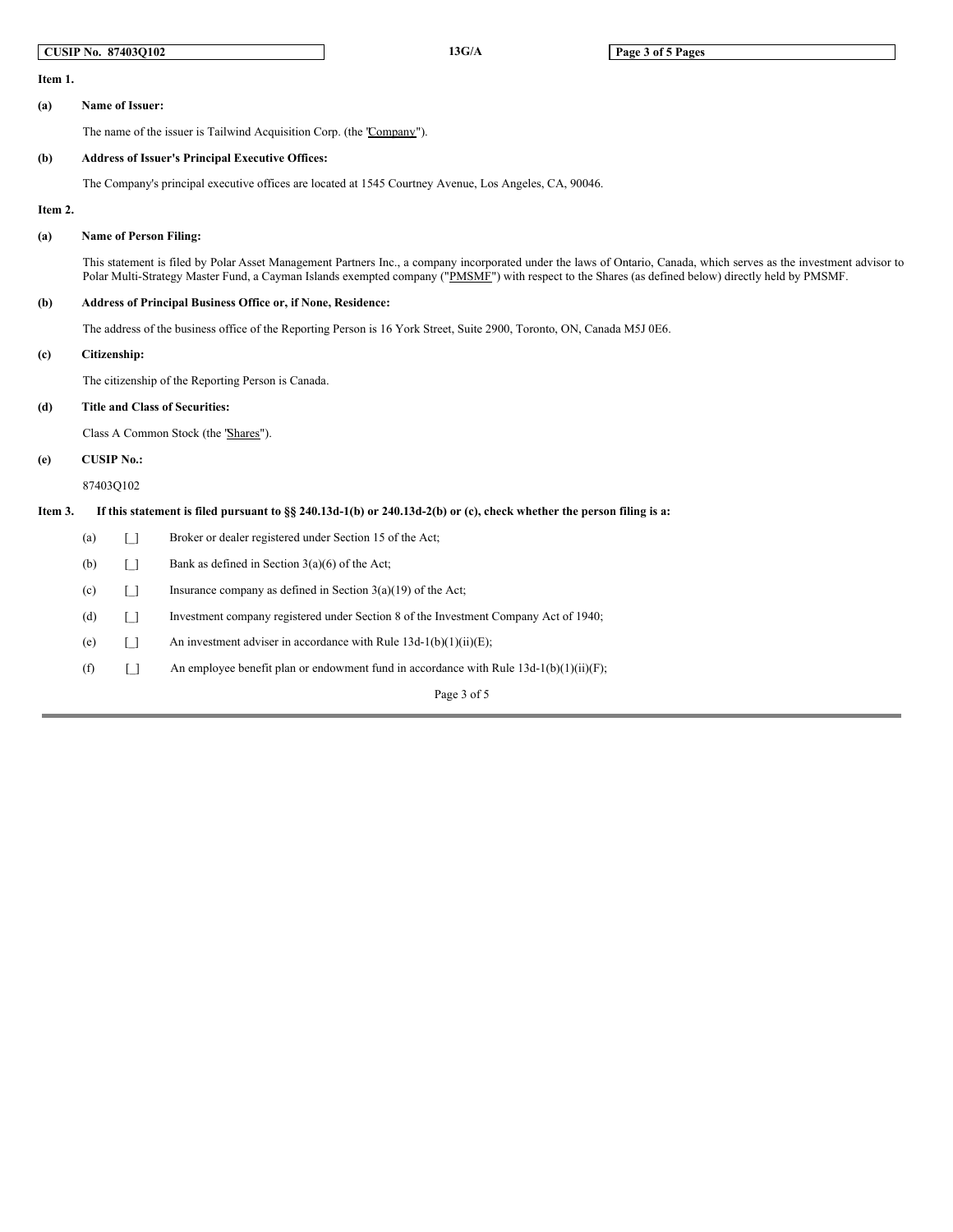|         |                                                                                                                                                                                                                                                                                                                             | <b>CUSIP No. 87403Q102</b>                                   |                                                                        | 13G/A                                                                                                  | Page 3 of 5 Pages |  |  |
|---------|-----------------------------------------------------------------------------------------------------------------------------------------------------------------------------------------------------------------------------------------------------------------------------------------------------------------------------|--------------------------------------------------------------|------------------------------------------------------------------------|--------------------------------------------------------------------------------------------------------|-------------------|--|--|
| Item 1. |                                                                                                                                                                                                                                                                                                                             |                                                              |                                                                        |                                                                                                        |                   |  |  |
| (a)     |                                                                                                                                                                                                                                                                                                                             | Name of Issuer:                                              |                                                                        |                                                                                                        |                   |  |  |
|         |                                                                                                                                                                                                                                                                                                                             |                                                              | The name of the issuer is Tailwind Acquisition Corp. (the 'Company''). |                                                                                                        |                   |  |  |
| (b)     |                                                                                                                                                                                                                                                                                                                             |                                                              | <b>Address of Issuer's Principal Executive Offices:</b>                |                                                                                                        |                   |  |  |
|         |                                                                                                                                                                                                                                                                                                                             |                                                              |                                                                        | The Company's principal executive offices are located at 1545 Courtney Avenue, Los Angeles, CA, 90046. |                   |  |  |
| Item 2. |                                                                                                                                                                                                                                                                                                                             |                                                              |                                                                        |                                                                                                        |                   |  |  |
| (a)     | <b>Name of Person Filing:</b>                                                                                                                                                                                                                                                                                               |                                                              |                                                                        |                                                                                                        |                   |  |  |
|         | This statement is filed by Polar Asset Management Partners Inc., a company incorporated under the laws of Ontario, Canada, which serves as the investment advisor to<br>Polar Multi-Strategy Master Fund, a Cayman Islands exempted company ("PMSMF") with respect to the Shares (as defined below) directly held by PMSMF. |                                                              |                                                                        |                                                                                                        |                   |  |  |
| (b)     |                                                                                                                                                                                                                                                                                                                             | Address of Principal Business Office or, if None, Residence: |                                                                        |                                                                                                        |                   |  |  |
|         | The address of the business office of the Reporting Person is 16 York Street, Suite 2900, Toronto, ON, Canada M5J 0E6.                                                                                                                                                                                                      |                                                              |                                                                        |                                                                                                        |                   |  |  |
| (c)     |                                                                                                                                                                                                                                                                                                                             | Citizenship:                                                 |                                                                        |                                                                                                        |                   |  |  |
|         |                                                                                                                                                                                                                                                                                                                             | The citizenship of the Reporting Person is Canada.           |                                                                        |                                                                                                        |                   |  |  |
| (d)     |                                                                                                                                                                                                                                                                                                                             | <b>Title and Class of Securities:</b>                        |                                                                        |                                                                                                        |                   |  |  |
|         | Class A Common Stock (the 'Shares'').                                                                                                                                                                                                                                                                                       |                                                              |                                                                        |                                                                                                        |                   |  |  |
| (e)     | <b>CUSIP No.:</b>                                                                                                                                                                                                                                                                                                           |                                                              |                                                                        |                                                                                                        |                   |  |  |
|         | 87403Q102                                                                                                                                                                                                                                                                                                                   |                                                              |                                                                        |                                                                                                        |                   |  |  |
| Item 3. | If this statement is filed pursuant to §§ 240.13d-1(b) or 240.13d-2(b) or (c), check whether the person filing is a:                                                                                                                                                                                                        |                                                              |                                                                        |                                                                                                        |                   |  |  |
|         | (a)                                                                                                                                                                                                                                                                                                                         | $\Box$                                                       | Broker or dealer registered under Section 15 of the Act;               |                                                                                                        |                   |  |  |
|         | (b)                                                                                                                                                                                                                                                                                                                         | $\Box$                                                       | Bank as defined in Section $3(a)(6)$ of the Act;                       |                                                                                                        |                   |  |  |
|         | (c)                                                                                                                                                                                                                                                                                                                         | $\Box$                                                       | Insurance company as defined in Section $3(a)(19)$ of the Act;         |                                                                                                        |                   |  |  |
|         | (d)                                                                                                                                                                                                                                                                                                                         | $\Box$                                                       |                                                                        | Investment company registered under Section 8 of the Investment Company Act of 1940;                   |                   |  |  |
|         | (e)                                                                                                                                                                                                                                                                                                                         | $\Box$                                                       |                                                                        | An investment adviser in accordance with Rule $13d-1(b)(1)(ii)(E)$ ;                                   |                   |  |  |
|         | (f)                                                                                                                                                                                                                                                                                                                         | $\Box$                                                       |                                                                        | An employee benefit plan or endowment fund in accordance with Rule $13d-1(b)(1)(ii)(F)$ ;              |                   |  |  |
|         |                                                                                                                                                                                                                                                                                                                             |                                                              |                                                                        | Page 3 of 5                                                                                            |                   |  |  |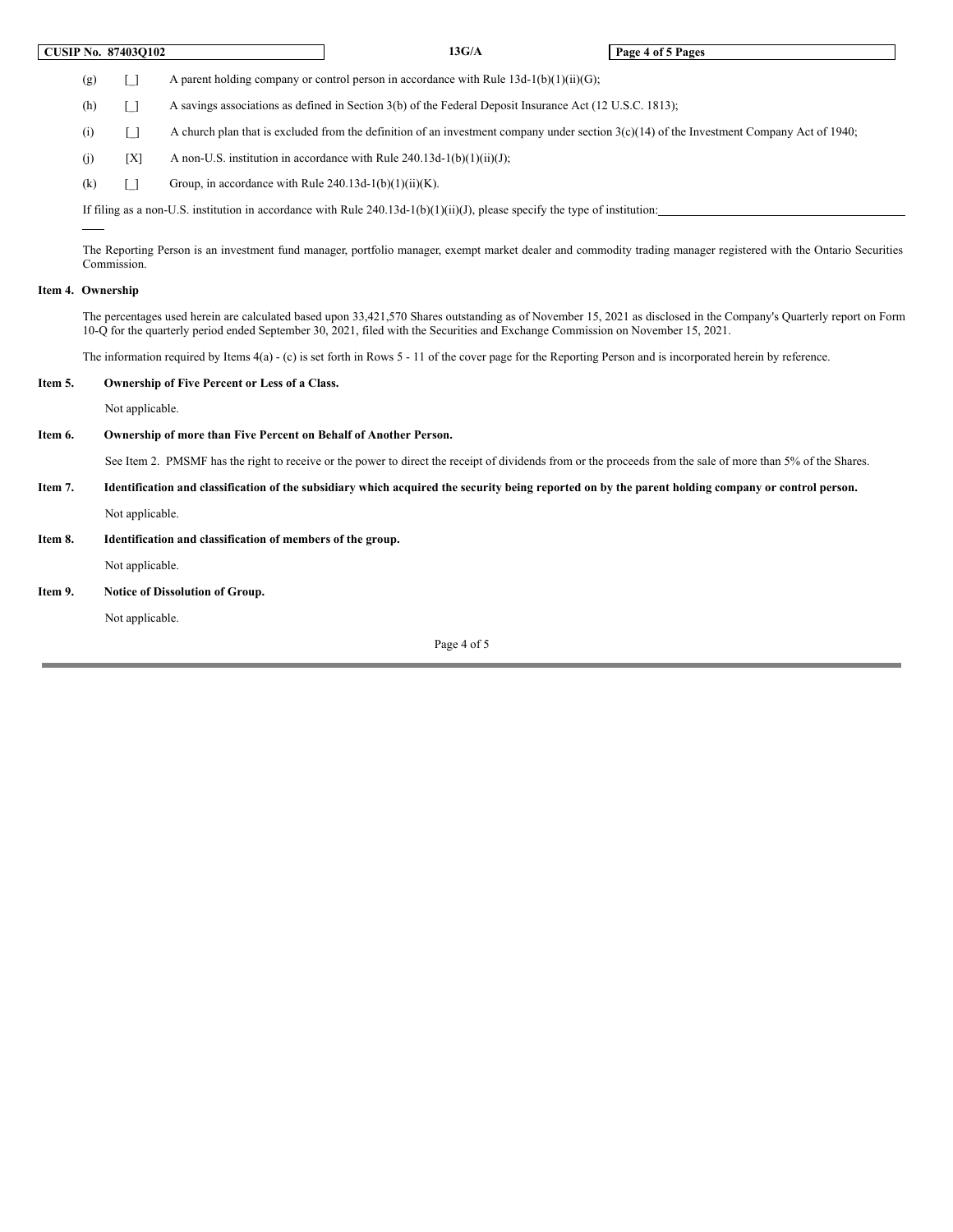|         |                                                                                                                                                                                                                                                                                                       | <b>CUSIP No. 87403Q102</b>                    |                                                                                                                                                              | 13G/A                                                                                                                                       | Page 4 of 5 Pages                                                                                                                                                |  |  |  |
|---------|-------------------------------------------------------------------------------------------------------------------------------------------------------------------------------------------------------------------------------------------------------------------------------------------------------|-----------------------------------------------|--------------------------------------------------------------------------------------------------------------------------------------------------------------|---------------------------------------------------------------------------------------------------------------------------------------------|------------------------------------------------------------------------------------------------------------------------------------------------------------------|--|--|--|
|         | (g)                                                                                                                                                                                                                                                                                                   | $\lceil$ $\rceil$                             |                                                                                                                                                              | A parent holding company or control person in accordance with Rule $13d-1(b)(1)(ii)(G)$ ;                                                   |                                                                                                                                                                  |  |  |  |
|         | A savings associations as defined in Section 3(b) of the Federal Deposit Insurance Act (12 U.S.C. 1813);<br>(h)<br>$\Box$                                                                                                                                                                             |                                               |                                                                                                                                                              |                                                                                                                                             |                                                                                                                                                                  |  |  |  |
|         | (i)                                                                                                                                                                                                                                                                                                   | $\lceil$ $\rceil$                             |                                                                                                                                                              | A church plan that is excluded from the definition of an investment company under section $3(c)(14)$ of the Investment Company Act of 1940; |                                                                                                                                                                  |  |  |  |
|         | (i)                                                                                                                                                                                                                                                                                                   | [X]                                           |                                                                                                                                                              | A non-U.S. institution in accordance with Rule $240.13d-1(b)(1)(ii)(J)$ ;                                                                   |                                                                                                                                                                  |  |  |  |
|         | (k)                                                                                                                                                                                                                                                                                                   | $\lceil \rceil$                               | Group, in accordance with Rule $240.13d-1(b)(1)(ii)(K)$ .                                                                                                    |                                                                                                                                             |                                                                                                                                                                  |  |  |  |
|         | If filing as a non-U.S. institution in accordance with Rule 240.13d-1(b)(1)(ii)(J), please specify the type of institution:                                                                                                                                                                           |                                               |                                                                                                                                                              |                                                                                                                                             |                                                                                                                                                                  |  |  |  |
|         |                                                                                                                                                                                                                                                                                                       |                                               |                                                                                                                                                              |                                                                                                                                             |                                                                                                                                                                  |  |  |  |
|         |                                                                                                                                                                                                                                                                                                       | Commission.                                   |                                                                                                                                                              |                                                                                                                                             | The Reporting Person is an investment fund manager, portfolio manager, exempt market dealer and commodity trading manager registered with the Ontario Securities |  |  |  |
|         | Item 4. Ownership                                                                                                                                                                                                                                                                                     |                                               |                                                                                                                                                              |                                                                                                                                             |                                                                                                                                                                  |  |  |  |
|         | The percentages used herein are calculated based upon 33,421,570 Shares outstanding as of November 15, 2021 as disclosed in the Company's Quarterly report on Form<br>10-O for the quarterly period ended September 30, 2021, filed with the Securities and Exchange Commission on November 15, 2021. |                                               |                                                                                                                                                              |                                                                                                                                             |                                                                                                                                                                  |  |  |  |
|         | The information required by Items $4(a)$ - (c) is set forth in Rows 5 - 11 of the cover page for the Reporting Person and is incorporated herein by reference.                                                                                                                                        |                                               |                                                                                                                                                              |                                                                                                                                             |                                                                                                                                                                  |  |  |  |
| Item 5. |                                                                                                                                                                                                                                                                                                       | Ownership of Five Percent or Less of a Class. |                                                                                                                                                              |                                                                                                                                             |                                                                                                                                                                  |  |  |  |
|         |                                                                                                                                                                                                                                                                                                       | Not applicable.                               |                                                                                                                                                              |                                                                                                                                             |                                                                                                                                                                  |  |  |  |
| Item 6. | Ownership of more than Five Percent on Behalf of Another Person.                                                                                                                                                                                                                                      |                                               |                                                                                                                                                              |                                                                                                                                             |                                                                                                                                                                  |  |  |  |
|         |                                                                                                                                                                                                                                                                                                       |                                               | See Item 2. PMSMF has the right to receive or the power to direct the receipt of dividends from or the proceeds from the sale of more than 5% of the Shares. |                                                                                                                                             |                                                                                                                                                                  |  |  |  |
| Item 7. | Identification and classification of the subsidiary which acquired the security being reported on by the parent holding company or control person.                                                                                                                                                    |                                               |                                                                                                                                                              |                                                                                                                                             |                                                                                                                                                                  |  |  |  |
|         | Not applicable.                                                                                                                                                                                                                                                                                       |                                               |                                                                                                                                                              |                                                                                                                                             |                                                                                                                                                                  |  |  |  |
| Item 8. | Identification and classification of members of the group.                                                                                                                                                                                                                                            |                                               |                                                                                                                                                              |                                                                                                                                             |                                                                                                                                                                  |  |  |  |
|         |                                                                                                                                                                                                                                                                                                       | Not applicable.                               |                                                                                                                                                              |                                                                                                                                             |                                                                                                                                                                  |  |  |  |
| Item 9. |                                                                                                                                                                                                                                                                                                       | Notice of Dissolution of Group.               |                                                                                                                                                              |                                                                                                                                             |                                                                                                                                                                  |  |  |  |
|         | Not applicable.                                                                                                                                                                                                                                                                                       |                                               |                                                                                                                                                              |                                                                                                                                             |                                                                                                                                                                  |  |  |  |
|         |                                                                                                                                                                                                                                                                                                       |                                               |                                                                                                                                                              | Page 4 of 5                                                                                                                                 |                                                                                                                                                                  |  |  |  |